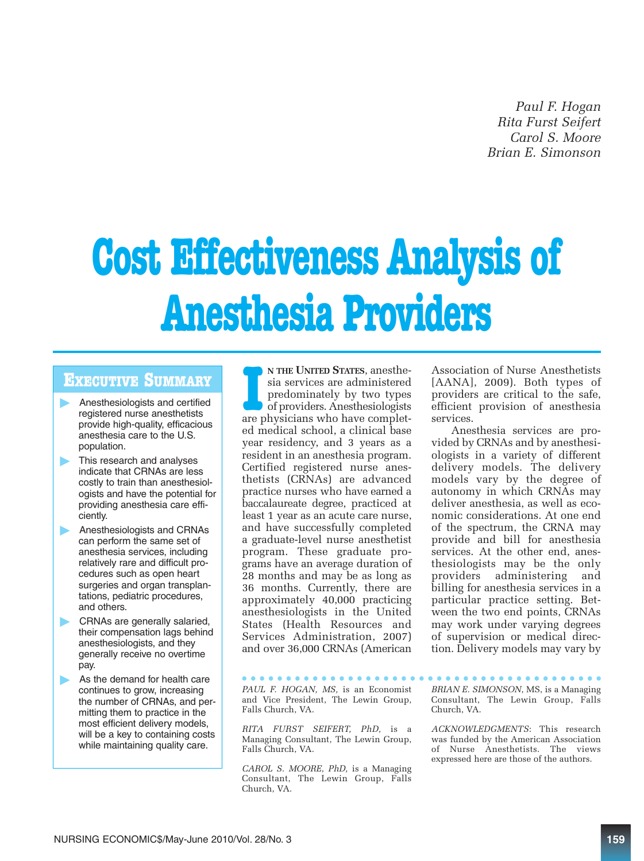*Paul F. Hogan Rita Furst Seifert Carol S. Moore Brian E. Simonson*

# **Cost Effectiveness Analysis of Anesthesia Providers**

## **EXECUTIVE SUMMARY**

- **Anesthesiologists and certified** registered nurse anesthetists provide high-quality, efficacious anesthesia care to the U.S. population.
- This research and analyses indicate that CRNAs are less costly to train than anesthesiologists and have the potential for providing anesthesia care efficiently.
- **Anesthesiologists and CRNAs** can perform the same set of anesthesia services, including relatively rare and difficult procedures such as open heart surgeries and organ transplantations, pediatric procedures, and others.
- **CRNAs are generally salaried,** their compensation lags behind anesthesiologists, and they generally receive no overtime pay.
- As the demand for health care continues to grow, increasing the number of CRNAs, and permitting them to practice in the most efficient delivery models, will be a key to containing costs while maintaining quality care.

IFTHE UNITED STATES, anesthesia services are administered predominately by two types of providers. Anesthesiologists are physicians who have complet-**N THE UNITED STATES**, anesthesia services are administered predominately by two types  $\bullet$  of providers. Anesthesiologists ed medical school, a clinical base year residency, and 3 years as a resident in an anesthesia program. Certified registered nurse anesthetists (CRNAs) are advanced practice nurses who have earned a baccalaureate degree, practiced at least 1 year as an acute care nurse, and have successfully completed a graduate-level nurse anesthetist program. These graduate programs have an average duration of 28 months and may be as long as 36 months. Currently, there are approximately 40,000 practicing anesthesiologists in the United States (Health Resources and Services Administration, 2007) and over 36,000 CRNAs (American

*PAUL F. HOGAN, MS,* is an Economist and Vice President, The Lewin Group, Falls Church, VA.

*RITA FURST SEIFERT, PhD,* is a Managing Consultant, The Lewin Group, Falls Church, VA.

*CAROL S. MOORE*, *PhD,* is a Managing Consultant, The Lewin Group, Falls Church, VA.

Association of Nurse Anesthetists [AANA], 2009). Both types of providers are critical to the safe, efficient provision of anesthesia services.

Anesthesia services are provided by CRNAs and by anesthesiologists in a variety of different delivery models. The delivery models vary by the degree of autonomy in which CRNAs may deliver anesthesia, as well as economic considerations. At one end of the spectrum, the CRNA may provide and bill for anesthesia services. At the other end, anesthesiologists may be the only providers administering and billing for anesthesia services in a particular practice setting. Between the two end points, CRNAs may work under varying degrees of supervision or medical direction. Delivery models may vary by

*BRIAN E. SIMONSON*, MS, is a Managing Consultant, The Lewin Group, Falls Church, VA.

*ACKNOWLEDGMENTS*: This research was funded by the American Association of Nurse Anesthetists. The views expressed here are those of the authors.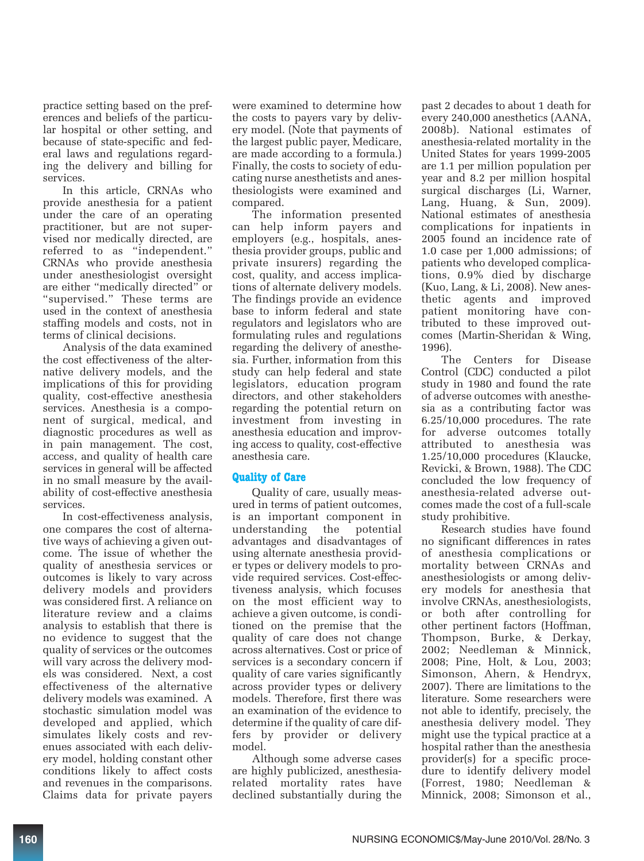practice setting based on the preferences and beliefs of the particular hospital or other setting, and because of state-specific and federal laws and regulations regarding the delivery and billing for services.

In this article, CRNAs who provide anesthesia for a patient under the care of an operating practitioner, but are not supervised nor medically directed, are referred to as "independent." CRNAs who provide anesthesia under anesthesiologist oversight are either "medically directed" or "supervised." These terms are used in the context of anesthesia staffing models and costs, not in terms of clinical decisions.

Analysis of the data examined the cost effectiveness of the alternative delivery models, and the implications of this for providing quality, cost-effective anesthesia services. Anesthesia is a component of surgical, medical, and diagnostic procedures as well as in pain management. The cost, access, and quality of health care services in general will be affected in no small measure by the availability of cost-effective anesthesia services.

In cost-effectiveness analysis, one compares the cost of alternative ways of achieving a given outcome. The issue of whether the quality of anesthesia services or outcomes is likely to vary across delivery models and providers was considered first. A reliance on literature review and a claims analysis to establish that there is no evidence to suggest that the quality of services or the outcomes will vary across the delivery models was considered. Next, a cost effectiveness of the alternative delivery models was examined. A stochastic simulation model was developed and applied, which simulates likely costs and revenues associated with each delivery model, holding constant other conditions likely to affect costs and revenues in the comparisons. Claims data for private payers

were examined to determine how the costs to payers vary by delivery model. (Note that payments of the largest public payer, Medicare, are made according to a formula.) Finally, the costs to society of educating nurse anesthetists and anesthesiologists were examined and compared.

The information presented can help inform payers and employers (e.g., hospitals, anesthesia provider groups, public and private insurers) regarding the cost, quality, and access implications of alternate delivery models. The findings provide an evidence base to inform federal and state regulators and legislators who are formulating rules and regulations regarding the delivery of anesthesia. Further, information from this study can help federal and state legislators, education program directors, and other stakeholders regarding the potential return on investment from investing in anesthesia education and improving access to quality, cost-effective anesthesia care.

### **Quality of Care**

Quality of care, usually measured in terms of patient outcomes, is an important component in understanding the potential advantages and disadvantages of using alternate anesthesia provider types or delivery models to provide required services. Cost-effectiveness analysis, which focuses on the most efficient way to achieve a given outcome, is conditioned on the premise that the quality of care does not change across alternatives. Cost or price of services is a secondary concern if quality of care varies significantly across provider types or delivery models. Therefore, first there was an examination of the evidence to determine if the quality of care differs by provider or delivery model.

Although some adverse cases are highly publicized, anesthesiarelated mortality rates have declined substantially during the

past 2 decades to about 1 death for every 240,000 anesthetics (AANA, 2008b). National estimates of anesthesia-related mortality in the United States for years 1999-2005 are 1.1 per million population per year and 8.2 per million hospital surgical discharges (Li, Warner, Lang, Huang, & Sun, 2009). National estimates of anesthesia complications for inpatients in 2005 found an incidence rate of 1.0 case per 1,000 admissions; of patients who developed complications, 0.9% died by discharge (Kuo, Lang, & Li, 2008). New anesthetic agents and improved patient monitoring have contributed to these improved outcomes (Martin-Sheridan & Wing, 1996).

The Centers for Disease Control (CDC) conducted a pilot study in 1980 and found the rate of adverse outcomes with anesthesia as a contributing factor was 6.25/10,000 procedures. The rate for adverse outcomes totally attributed to anesthesia was 1.25/10,000 procedures (Klaucke, Revicki, & Brown, 1988). The CDC concluded the low frequency of anesthesia-related adverse outcomes made the cost of a full-scale study prohibitive.

Research studies have found no significant differences in rates of anesthesia complications or mortality between CRNAs and anesthesiologists or among delivery models for anesthesia that involve CRNAs, anesthesiologists, or both after controlling for other pertinent factors (Hoffman, Thompson, Burke, & Derkay, 2002; Needleman & Minnick, 2008; Pine, Holt, & Lou, 2003; Simonson, Ahern, & Hendryx, 2007). There are limitations to the literature. Some researchers were not able to identify, precisely, the anesthesia delivery model. They might use the typical practice at a hospital rather than the anesthesia provider(s) for a specific procedure to identify delivery model (Forrest, 1980; Needleman & Minnick, 2008; Simonson et al.,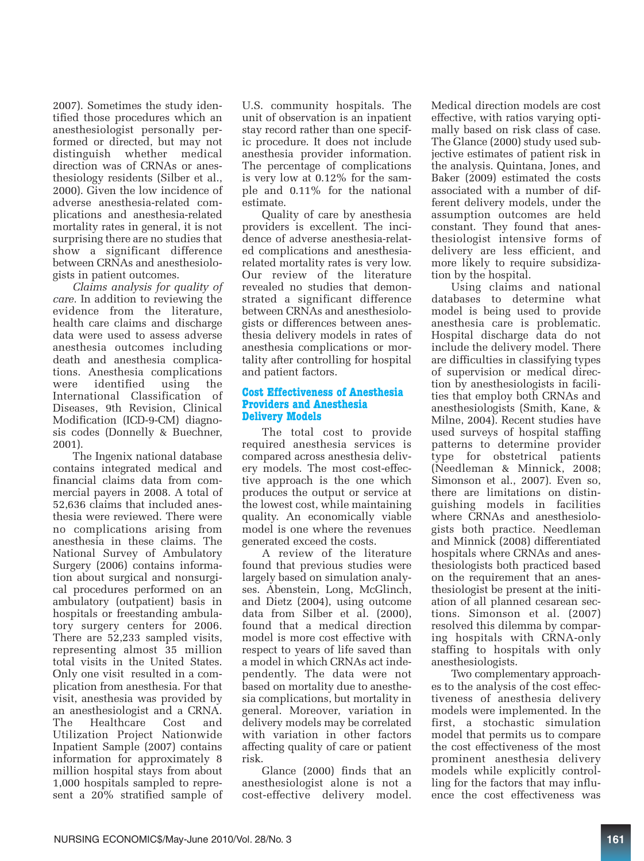2007). Sometimes the study identified those procedures which an anesthesiologist personally performed or directed, but may not distinguish whether medical direction was of CRNAs or anesthesiology residents (Silber et al., 2000). Given the low incidence of adverse anesthesia-related complications and anesthesia-related mortality rates in general, it is not surprising there are no studies that show a significant difference between CRNAs and anesthesiologists in patient outcomes.

*Claims analysis for quality of care.* In addition to reviewing the evidence from the literature, health care claims and discharge data were used to assess adverse anesthesia outcomes including death and anesthesia complications. Anesthesia complications were identified using the International Classification of Diseases, 9th Revision, Clinical Modification (ICD-9-CM) diagnosis codes (Donnelly & Buechner, 2001).

The Ingenix national database contains integrated medical and financial claims data from commercial payers in 2008. A total of 52,636 claims that included anesthesia were reviewed. There were no complications arising from anesthesia in these claims. The National Survey of Ambulatory Surgery (2006) contains information about surgical and nonsurgical procedures performed on an ambulatory (outpatient) basis in hospitals or freestanding ambulatory surgery centers for 2006. There are 52,233 sampled visits, representing almost 35 million total visits in the United States. Only one visit resulted in a complication from anesthesia. For that visit, anesthesia was provided by an anesthesiologist and a CRNA. The Healthcare Cost and Utilization Project Nationwide Inpatient Sample (2007) contains information for approximately 8 million hospital stays from about 1,000 hospitals sampled to represent a 20% stratified sample of U.S. community hospitals. The unit of observation is an inpatient stay record rather than one specific procedure. It does not include anesthesia provider information. The percentage of complications is very low at 0.12% for the sample and 0.11% for the national estimate.

Quality of care by anesthesia providers is excellent. The incidence of adverse anesthesia-related complications and anesthesiarelated mortality rates is very low. Our review of the literature revealed no studies that demonstrated a significant difference between CRNAs and anesthesiologists or differences between anesthesia delivery models in rates of anesthesia complications or mortality after controlling for hospital and patient factors.

#### **Cost Effectiveness of Anesthesia Providers and Anesthesia Delivery Models**

The total cost to provide required anesthesia services is compared across anesthesia delivery models. The most cost-effective approach is the one which produces the output or service at the lowest cost, while maintaining quality. An economically viable model is one where the revenues generated exceed the costs.

A review of the literature found that previous studies were largely based on simulation analyses. Abenstein, Long, McGlinch, and Dietz (2004), using outcome data from Silber et al. (2000), found that a medical direction model is more cost effective with respect to years of life saved than a model in which CRNAs act independently. The data were not based on mortality due to anesthesia complications, but mortality in general. Moreover, variation in delivery models may be correlated with variation in other factors affecting quality of care or patient risk.

Glance (2000) finds that an anesthesiologist alone is not a cost-effective delivery model.

Medical direction models are cost effective, with ratios varying optimally based on risk class of case. The Glance (2000) study used subjective estimates of patient risk in the analysis. Quintana, Jones, and Baker (2009) estimated the costs associated with a number of different delivery models, under the assumption outcomes are held constant. They found that anesthesiologist intensive forms of delivery are less efficient, and more likely to require subsidization by the hospital.

Using claims and national databases to determine what model is being used to provide anesthesia care is problematic. Hospital discharge data do not include the delivery model. There are difficulties in classifying types of supervision or medical direction by anesthesiologists in facilities that employ both CRNAs and anesthesiologists (Smith, Kane, & Milne, 2004). Recent studies have used surveys of hospital staffing patterns to determine provider type for obstetrical patients (Needleman & Minnick, 2008; Simonson et al., 2007). Even so, there are limitations on distinguishing models in facilities where CRNAs and anesthesiologists both practice. Needleman and Minnick (2008) differentiated hospitals where CRNAs and anesthesiologists both practiced based on the requirement that an anesthesiologist be present at the initiation of all planned cesarean sections. Simonson et al. (2007) resolved this dilemma by comparing hospitals with CRNA-only staffing to hospitals with only anesthesiologists.

Two complementary approaches to the analysis of the cost effectiveness of anesthesia delivery models were implemented. In the first, a stochastic simulation model that permits us to compare the cost effectiveness of the most prominent anesthesia delivery models while explicitly controlling for the factors that may influence the cost effectiveness was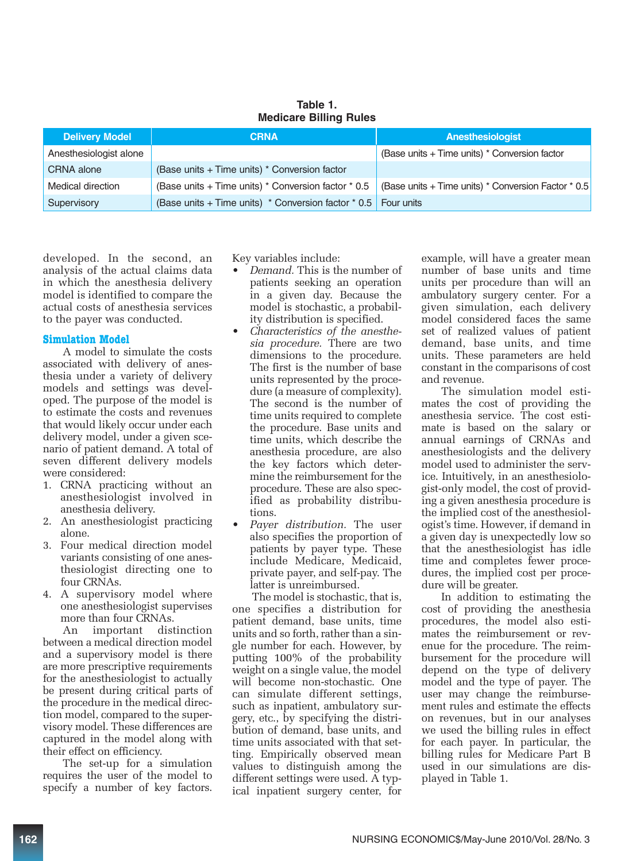| <b>Delivery Model</b>  | <b>CRNA</b>                                                                                               | <b>Anesthesiologist</b>                       |
|------------------------|-----------------------------------------------------------------------------------------------------------|-----------------------------------------------|
| Anesthesiologist alone |                                                                                                           | (Base units + Time units) * Conversion factor |
| CRNA alone             | (Base units + Time units) * Conversion factor                                                             |                                               |
| Medical direction      | (Base units + Time units) * Conversion factor * 0.5   (Base units + Time units) * Conversion Factor * 0.5 |                                               |
| Supervisory            | (Base units + Time units) $*$ Conversion factor $*$ 0.5   Four units                                      |                                               |

**Table 1. Medicare Billing Rules** 

developed. In the second, an analysis of the actual claims data in which the anesthesia delivery model is identified to compare the actual costs of anesthesia services to the payer was conducted.

#### **Simulation Model**

A model to simulate the costs associated with delivery of anesthesia under a variety of delivery models and settings was developed. The purpose of the model is to estimate the costs and revenues that would likely occur under each delivery model, under a given scenario of patient demand. A total of seven different delivery models were considered:

- 1. CRNA practicing without an anesthesiologist involved in anesthesia delivery.
- 2. An anesthesiologist practicing alone.
- 3. Four medical direction model variants consisting of one anesthesiologist directing one to four CRNAs.
- 4. A supervisory model where one anesthesiologist supervises more than four CRNAs.

An important distinction between a medical direction model and a supervisory model is there are more prescriptive requirements for the anesthesiologist to actually be present during critical parts of the procedure in the medical direction model, compared to the supervisory model. These differences are captured in the model along with their effect on efficiency.

The set-up for a simulation requires the user of the model to specify a number of key factors. Key variables include:

- *Demand.* This is the number of patients seeking an operation in a given day. Because the model is stochastic, a probability distribution is specified.
- *Characteristics of the anesthesia procedure.* There are two dimensions to the procedure. The first is the number of base units represented by the procedure (a measure of complexity). The second is the number of time units required to complete the procedure. Base units and time units, which describe the anesthesia procedure, are also the key factors which determine the reimbursement for the procedure. These are also specified as probability distributions.
- *Payer distribution.* The user also specifies the proportion of patients by payer type. These include Medicare, Medicaid, private payer, and self-pay. The latter is unreimbursed.

The model is stochastic, that is, one specifies a distribution for patient demand, base units, time units and so forth, rather than a single number for each. However, by putting 100% of the probability weight on a single value, the model will become non-stochastic. One can simulate different settings, such as inpatient, ambulatory surgery, etc., by specifying the distribution of demand, base units, and time units associated with that setting. Empirically observed mean values to distinguish among the different settings were used. A typical inpatient surgery center, for

example, will have a greater mean number of base units and time units per procedure than will an ambulatory surgery center. For a given simulation, each delivery model considered faces the same set of realized values of patient demand, base units, and time units. These parameters are held constant in the comparisons of cost and revenue.

The simulation model estimates the cost of providing the anesthesia service. The cost estimate is based on the salary or annual earnings of CRNAs and anesthesiologists and the delivery model used to administer the service. Intuitively, in an anesthesiologist-only model, the cost of providing a given anesthesia procedure is the implied cost of the anesthesiologist's time. However, if demand in a given day is unexpectedly low so that the anesthesiologist has idle time and completes fewer procedures, the implied cost per procedure will be greater.

In addition to estimating the cost of providing the anesthesia procedures, the model also estimates the reimbursement or revenue for the procedure. The reimbursement for the procedure will depend on the type of delivery model and the type of payer. The user may change the reimbursement rules and estimate the effects on revenues, but in our analyses we used the billing rules in effect for each payer. In particular, the billing rules for Medicare Part B used in our simulations are displayed in Table 1.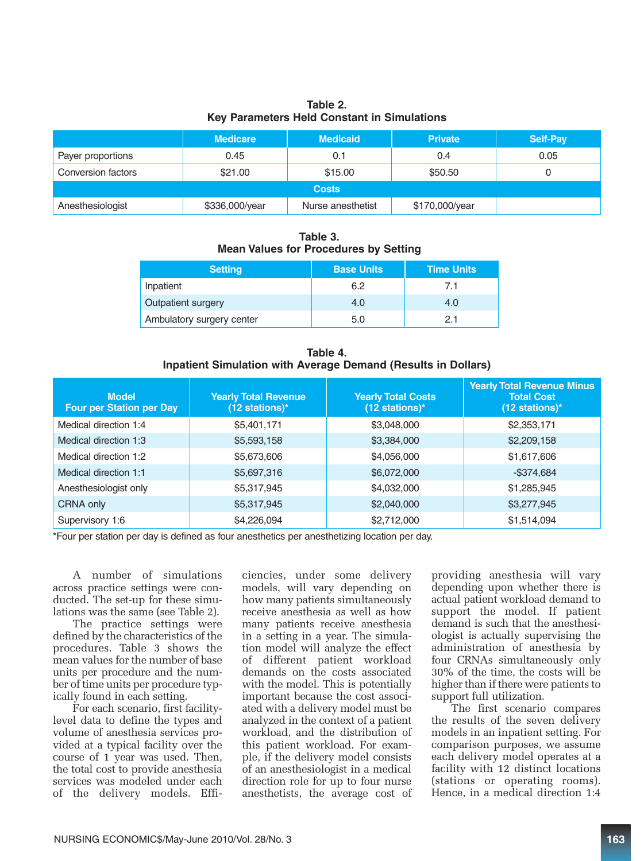**Table 2. Key Parameters Held Constant in Simulations** 

|                    | <b>Medicare</b> | <b>Medicaid</b>   | <b>Private</b> | <b>Self-Pay</b> |
|--------------------|-----------------|-------------------|----------------|-----------------|
| Payer proportions  | 0.45            | 0.1               | 0.4            | 0.05            |
| Conversion factors | \$21.00         | \$15.00           | \$50.50        |                 |
|                    |                 | <b>Costs</b>      |                |                 |
| Anesthesiologist   | \$336,000/year  | Nurse anesthetist | \$170,000/year |                 |

**Table 3. Mean Values for Procedures by Setting**

| <b>Setting</b>            | <b>Base Units</b> | <b>Time Units</b> |
|---------------------------|-------------------|-------------------|
| Inpatient                 | 6.2               | 7.1               |
| Outpatient surgery        | 4.0               | 4.0               |
| Ambulatory surgery center | 5.0               | 21                |

**Table 4. Inpatient Simulation with Average Demand (Results in Dollars)** 

| <b>Model</b><br><b>Four per Station per Day</b> | <b>Yearly Total Revenue</b><br>$(12$ stations)* | <b>Yearly Total Costs</b><br>(12 stations)* | <b>Yearly Total Revenue Minus</b><br><b>Total Cost</b><br>$(12$ stations)* |
|-------------------------------------------------|-------------------------------------------------|---------------------------------------------|----------------------------------------------------------------------------|
| Medical direction 1:4                           | \$5,401,171                                     | \$3,048,000                                 | \$2,353,171                                                                |
| Medical direction 1:3                           | \$5,593,158                                     | \$3,384,000                                 | \$2,209,158                                                                |
| Medical direction 1:2                           | \$5,673,606                                     | \$4,056,000                                 | \$1,617,606                                                                |
| Medical direction 1:1                           | \$5,697,316                                     | \$6,072,000                                 | $-$ \$374,684                                                              |
| Anesthesiologist only                           | \$5,317,945                                     | \$4,032,000                                 | \$1,285,945                                                                |
| CRNA only                                       | \$5,317,945                                     | \$2,040,000                                 | \$3,277,945                                                                |
| Supervisory 1:6                                 | \$4,226,094                                     | \$2,712,000                                 | \$1,514,094                                                                |

\*Four per station per day is defined as four anesthetics per anesthetizing location per day.

A number of simulations across practice settings were conducted. The set-up for these simulations was the same (see Table 2).

The practice settings were defined by the characteristics of the procedures. Table 3 shows the mean values for the number of base units per procedure and the number of time units per procedure typically found in each setting.

For each scenario, first facilitylevel data to define the types and volume of anesthesia services provided at a typical facility over the course of 1 year was used. Then, the total cost to provide anesthesia services was modeled under each of the delivery models. Efficiencies, under some delivery models, will vary depending on how many patients simultaneously receive anesthesia as well as how many patients receive anesthesia in a setting in a year. The simulation model will analyze the effect of different patient workload demands on the costs associated with the model. This is potentially important because the cost associated with a delivery model must be analyzed in the context of a patient workload, and the distribution of this patient workload. For example, if the delivery model consists of an anesthesiologist in a medical direction role for up to four nurse anesthetists, the average cost of providing anesthesia will vary depending upon whether there is actual patient workload demand to support the model. If patient demand is such that the anesthesiologist is actually supervising the administration of anesthesia by four CRNAs simultaneously only 30% of the time, the costs will be higher than if there were patients to support full utilization.

The first scenario compares the results of the seven delivery models in an inpatient setting. For comparison purposes, we assume each delivery model operates at a facility with 12 distinct locations (stations or operating rooms). Hence, in a medical direction 1:4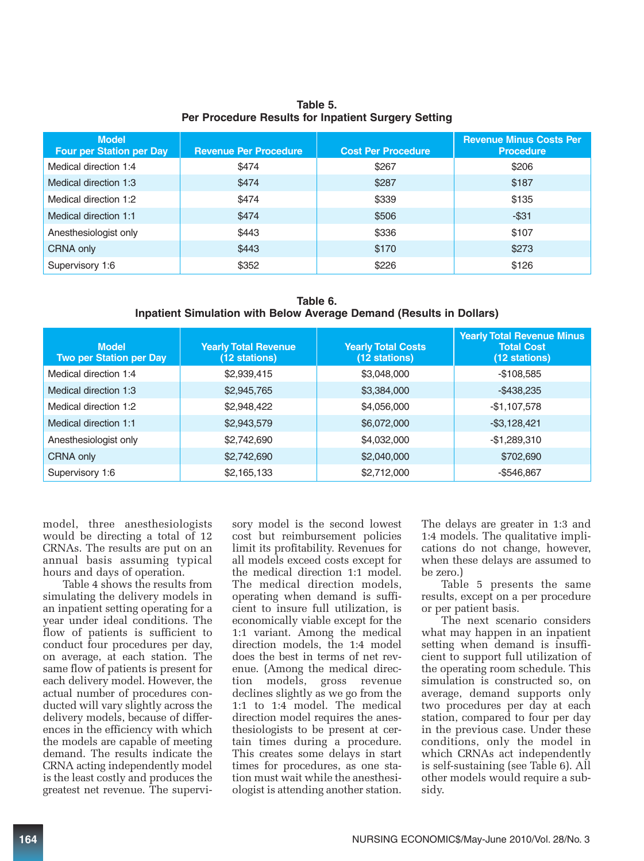| <b>Model</b><br><b>Four per Station per Day</b> | <b>Revenue Per Procedure</b> | <b>Cost Per Procedure</b> | <b>Revenue Minus Costs Per</b><br><b>Procedure</b> |
|-------------------------------------------------|------------------------------|---------------------------|----------------------------------------------------|
| Medical direction 1:4                           | \$474                        | \$267                     | \$206                                              |
| Medical direction 1:3                           | \$474                        | \$287                     | \$187                                              |
| Medical direction 1:2                           | \$474                        | \$339                     | \$135                                              |
| Medical direction 1:1                           | \$474                        | \$506                     | $-$ \$31                                           |
| Anesthesiologist only                           | \$443                        | \$336                     | \$107                                              |
| CRNA only                                       | \$443                        | \$170                     | \$273                                              |
| Supervisory 1:6                                 | \$352                        | \$226                     | \$126                                              |

**Table 5. Per Procedure Results for Inpatient Surgery Setting**

| Table 6.                                                            |  |
|---------------------------------------------------------------------|--|
| Inpatient Simulation with Below Average Demand (Results in Dollars) |  |

| <b>Model</b><br><b>Two per Station per Day</b> | <b>Yearly Total Revenue</b><br>(12 stations) | <b>Yearly Total Costs</b><br>(12 stations) | <b>Yearly Total Revenue Minus</b><br><b>Total Cost</b><br>(12 stations) |
|------------------------------------------------|----------------------------------------------|--------------------------------------------|-------------------------------------------------------------------------|
| Medical direction 1:4                          | \$2,939,415                                  | \$3,048,000                                | $-$108,585$                                                             |
| Medical direction 1:3                          | \$2,945,765                                  | \$3,384,000                                | $-$ \$438,235                                                           |
| Medical direction 1:2                          | \$2,948,422                                  | \$4,056,000                                | $-$1,107,578$                                                           |
| Medical direction 1:1                          | \$2,943,579                                  | \$6,072,000                                | $-$3,128,421$                                                           |
| Anesthesiologist only                          | \$2,742,690                                  | \$4,032,000                                | $-$1,289,310$                                                           |
| CRNA only                                      | \$2,742,690                                  | \$2,040,000                                | \$702,690                                                               |
| Supervisory 1:6                                | \$2,165,133                                  | \$2,712,000                                | $-$546,867$                                                             |

model, three anesthesiologists would be directing a total of 12 CRNAs. The results are put on an annual basis assuming typical hours and days of operation.

Table 4 shows the results from simulating the delivery models in an inpatient setting operating for a year under ideal conditions. The flow of patients is sufficient to conduct four procedures per day, on average, at each station. The same flow of patients is present for each delivery model. However, the actual number of procedures conducted will vary slightly across the delivery models, because of differences in the efficiency with which the models are capable of meeting demand. The results indicate the CRNA acting independently model is the least costly and produces the greatest net revenue. The supervisory model is the second lowest cost but reimbursement policies limit its profitability. Revenues for all models exceed costs except for the medical direction 1:1 model. The medical direction models, operating when demand is sufficient to insure full utilization, is economically viable except for the 1:1 variant. Among the medical direction models, the 1:4 model does the best in terms of net revenue. (Among the medical direction models, gross revenue declines slightly as we go from the 1:1 to 1:4 model. The medical direction model requires the anesthesiologists to be present at certain times during a procedure. This creates some delays in start times for procedures, as one station must wait while the anesthesiologist is attending another station. The delays are greater in 1:3 and 1:4 models. The qualitative implications do not change, however, when these delays are assumed to be zero.)

Table 5 presents the same results, except on a per procedure or per patient basis.

The next scenario considers what may happen in an inpatient setting when demand is insufficient to support full utilization of the operating room schedule. This simulation is constructed so, on average, demand supports only two procedures per day at each station, compared to four per day in the previous case. Under these conditions, only the model in which CRNAs act independently is self-sustaining (see Table 6). All other models would require a subsidy.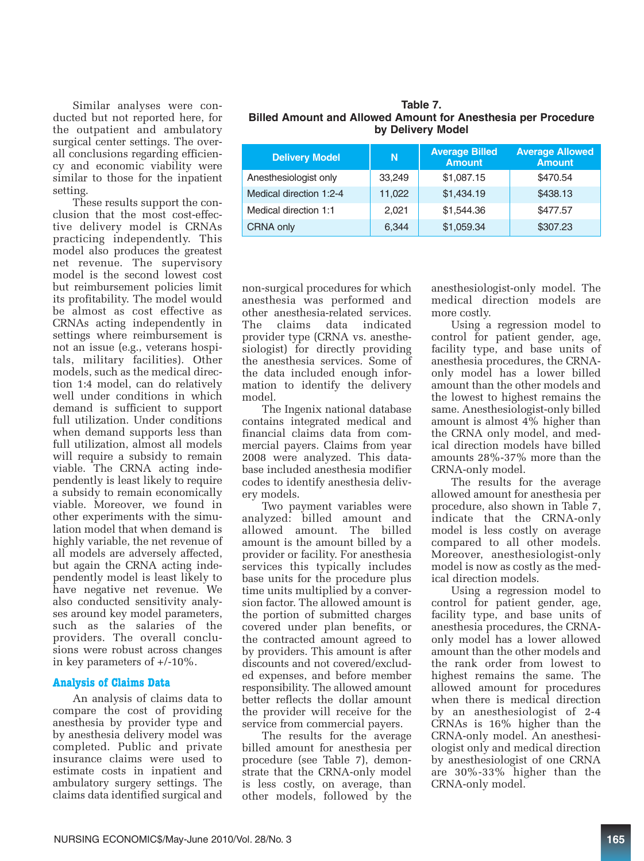Similar analyses were conducted but not reported here, for the outpatient and ambulatory surgical center settings. The overall conclusions regarding efficiency and economic viability were similar to those for the inpatient setting.

These results support the conclusion that the most cost-effective delivery model is CRNAs practicing independently. This model also produces the greatest net revenue. The supervisory model is the second lowest cost but reimbursement policies limit its profitability. The model would be almost as cost effective as CRNAs acting independently in settings where reimbursement is not an issue (e.g., veterans hospitals, military facilities). Other models, such as the medical direction 1:4 model, can do relatively well under conditions in which demand is sufficient to support full utilization. Under conditions when demand supports less than full utilization, almost all models will require a subsidy to remain viable. The CRNA acting independently is least likely to require a subsidy to remain economically viable. Moreover, we found in other experiments with the simulation model that when demand is highly variable, the net revenue of all models are adversely affected, but again the CRNA acting independently model is least likely to have negative net revenue. We also conducted sensitivity analyses around key model parameters, such as the salaries of the providers. The overall conclusions were robust across changes in key parameters of +/-10%.

#### **Analysis of Claims Data**

An analysis of claims data to compare the cost of providing anesthesia by provider type and by anesthesia delivery model was completed. Public and private insurance claims were used to estimate costs in inpatient and ambulatory surgery settings. The claims data identified surgical and

| Table 7.                                                             |
|----------------------------------------------------------------------|
| <b>Billed Amount and Allowed Amount for Anesthesia per Procedure</b> |
| by Delivery Model                                                    |

| <b>Delivery Model</b>   | N      | <b>Average Billed</b><br><b>Amount</b> | <b>Average Allowed</b><br><b>Amount</b> |
|-------------------------|--------|----------------------------------------|-----------------------------------------|
| Anesthesiologist only   | 33.249 | \$1,087.15                             | \$470.54                                |
| Medical direction 1:2-4 | 11,022 | \$1,434.19                             | \$438.13                                |
| Medical direction 1:1   | 2,021  | \$1,544.36                             | \$477.57                                |
| CRNA only               | 6.344  | \$1,059.34                             | \$307.23                                |

non-surgical procedures for which anesthesia was performed and other anesthesia-related services. The claims data indicated provider type (CRNA vs. anesthesiologist) for directly providing the anesthesia services. Some of the data included enough information to identify the delivery model.

The Ingenix national database contains integrated medical and financial claims data from commercial payers. Claims from year 2008 were analyzed. This database included anesthesia modifier codes to identify anesthesia delivery models.

Two payment variables were analyzed: billed amount and allowed amount. The billed amount is the amount billed by a provider or facility. For anesthesia services this typically includes base units for the procedure plus time units multiplied by a conversion factor. The allowed amount is the portion of submitted charges covered under plan benefits, or the contracted amount agreed to by providers. This amount is after discounts and not covered/excluded expenses, and before member responsibility. The allowed amount better reflects the dollar amount the provider will receive for the service from commercial payers.

The results for the average billed amount for anesthesia per procedure (see Table 7), demonstrate that the CRNA-only model is less costly, on average, than other models, followed by the

anesthesiologist-only model. The medical direction models are more costly.

Using a regression model to control for patient gender, age, facility type, and base units of anesthesia procedures, the CRNAonly model has a lower billed amount than the other models and the lowest to highest remains the same. Anesthesiologist-only billed amount is almost 4% higher than the CRNA only model, and medical direction models have billed amounts 28%-37% more than the CRNA-only model.

The results for the average allowed amount for anesthesia per procedure, also shown in Table 7, indicate that the CRNA-only model is less costly on average compared to all other models. Moreover, anesthesiologist-only model is now as costly as the medical direction models.

Using a regression model to control for patient gender, age, facility type, and base units of anesthesia procedures, the CRNAonly model has a lower allowed amount than the other models and the rank order from lowest to highest remains the same. The allowed amount for procedures when there is medical direction by an anesthesiologist of 2-4 CRNAs is 16% higher than the CRNA-only model. An anesthesiologist only and medical direction by anesthesiologist of one CRNA are 30%-33% higher than the CRNA-only model.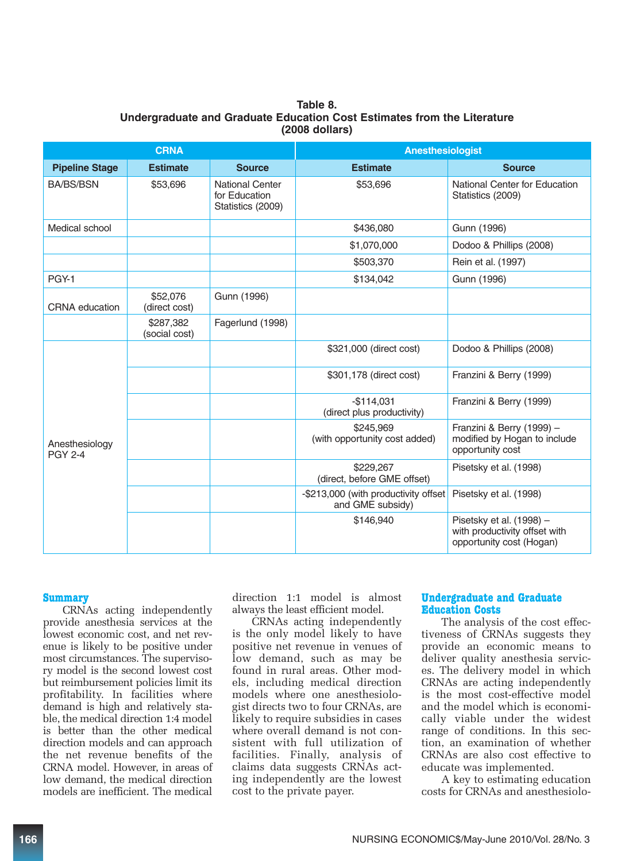|                                  | <b>Anesthesiologist</b><br><b>CRNA</b> |                                                              |                                                          |                                                                                       |
|----------------------------------|----------------------------------------|--------------------------------------------------------------|----------------------------------------------------------|---------------------------------------------------------------------------------------|
| <b>Pipeline Stage</b>            | <b>Estimate</b>                        | <b>Source</b>                                                | <b>Estimate</b>                                          | <b>Source</b>                                                                         |
| <b>BA/BS/BSN</b>                 | \$53,696                               | <b>National Center</b><br>for Education<br>Statistics (2009) | \$53,696                                                 | National Center for Education<br>Statistics (2009)                                    |
| Medical school                   |                                        |                                                              | \$436,080                                                | Gunn (1996)                                                                           |
|                                  |                                        |                                                              | \$1,070,000                                              | Dodoo & Phillips (2008)                                                               |
|                                  |                                        |                                                              | \$503,370                                                | Rein et al. (1997)                                                                    |
| PGY-1                            |                                        |                                                              | \$134,042                                                | Gunn (1996)                                                                           |
| <b>CRNA</b> education            | \$52,076<br>(direct cost)              | Gunn (1996)                                                  |                                                          |                                                                                       |
|                                  | \$287.382<br>(social cost)             | Fagerlund (1998)                                             |                                                          |                                                                                       |
|                                  |                                        |                                                              | \$321,000 (direct cost)                                  | Dodoo & Phillips (2008)                                                               |
|                                  |                                        |                                                              | \$301,178 (direct cost)                                  | Franzini & Berry (1999)                                                               |
|                                  |                                        |                                                              | $-$114,031$<br>(direct plus productivity)                | Franzini & Berry (1999)                                                               |
| Anesthesiology<br><b>PGY 2-4</b> |                                        |                                                              | \$245,969<br>(with opportunity cost added)               | Franzini & Berry (1999) -<br>modified by Hogan to include<br>opportunity cost         |
|                                  |                                        |                                                              | \$229.267<br>(direct, before GME offset)                 | Pisetsky et al. (1998)                                                                |
|                                  |                                        |                                                              | -\$213,000 (with productivity offset<br>and GME subsidy) | Pisetsky et al. (1998)                                                                |
|                                  |                                        |                                                              | \$146,940                                                | Pisetsky et al. (1998) -<br>with productivity offset with<br>opportunity cost (Hogan) |

#### **Table 8. Undergraduate and Graduate Education Cost Estimates from the Literature (2008 dollars)**

#### **Summary**

CRNAs acting independently provide anesthesia services at the lowest economic cost, and net revenue is likely to be positive under most circumstances. The supervisory model is the second lowest cost but reimbursement policies limit its profitability. In facilities where demand is high and relatively stable, the medical direction 1:4 model is better than the other medical direction models and can approach the net revenue benefits of the CRNA model. However, in areas of low demand, the medical direction models are inefficient. The medical

direction 1:1 model is almost always the least efficient model.

CRNAs acting independently is the only model likely to have positive net revenue in venues of low demand, such as may be found in rural areas. Other models, including medical direction models where one anesthesiologist directs two to four CRNAs, are likely to require subsidies in cases where overall demand is not consistent with full utilization of facilities. Finally, analysis of claims data suggests CRNAs acting independently are the lowest cost to the private payer.

#### **Undergraduate and Graduate Education Costs**

The analysis of the cost effectiveness of CRNAs suggests they provide an economic means to deliver quality anesthesia services. The delivery model in which CRNAs are acting independently is the most cost-effective model and the model which is economically viable under the widest range of conditions. In this section, an examination of whether CRNAs are also cost effective to educate was implemented.

A key to estimating education costs for CRNAs and anesthesiolo-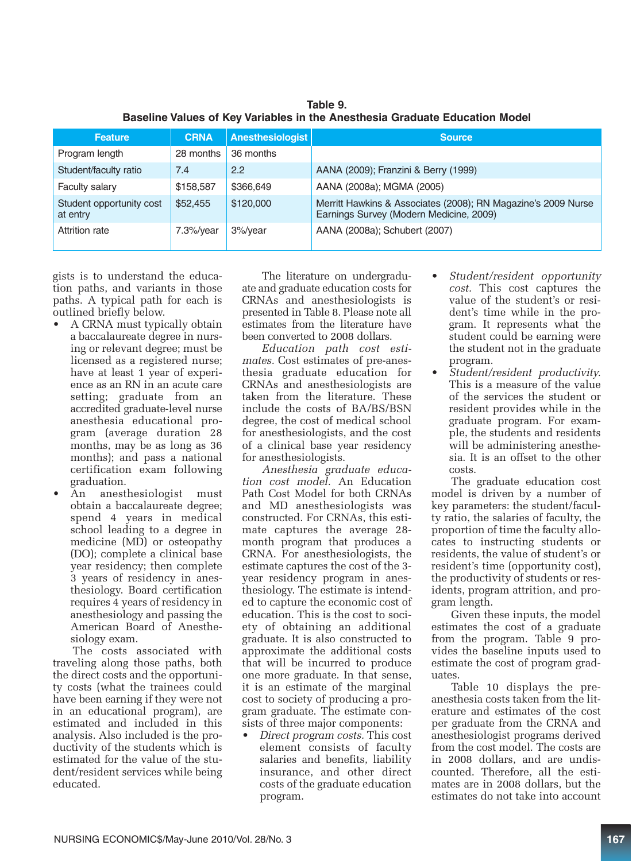| <b>Feature</b>                       | <b>CRNA</b>   | Anesthesiologist | <b>Source</b>                                                                                            |
|--------------------------------------|---------------|------------------|----------------------------------------------------------------------------------------------------------|
| Program length                       | 28 months     | 36 months        |                                                                                                          |
| Student/faculty ratio                | 7.4           | 2.2              | AANA (2009); Franzini & Berry (1999)                                                                     |
| Faculty salary                       | \$158,587     | \$366,649        | AANA (2008a); MGMA (2005)                                                                                |
| Student opportunity cost<br>at entry | \$52,455      | \$120,000        | Merritt Hawkins & Associates (2008); RN Magazine's 2009 Nurse<br>Earnings Survey (Modern Medicine, 2009) |
| Attrition rate                       | $7.3\%$ /year | 3%/year          | AANA (2008a); Schubert (2007)                                                                            |

**Table 9. Baseline Values of Key Variables in the Anesthesia Graduate Education Model** 

gists is to understand the education paths, and variants in those paths. A typical path for each is outlined briefly below.

- A CRNA must typically obtain a baccalaureate degree in nursing or relevant degree; must be licensed as a registered nurse; have at least 1 year of experience as an RN in an acute care setting; graduate from an accredited graduate-level nurse anesthesia educational program (average duration 28 months, may be as long as 36 months); and pass a national certification exam following graduation.
- An anesthesiologist must obtain a baccalaureate degree; spend 4 years in medical school leading to a degree in medicine (MD) or osteopathy (DO); complete a clinical base year residency; then complete 3 years of residency in anesthesiology. Board certification requires 4 years of residency in anesthesiology and passing the American Board of Anesthesiology exam.

The costs associated with traveling along those paths, both the direct costs and the opportunity costs (what the trainees could have been earning if they were not in an educational program), are estimated and included in this analysis. Also included is the productivity of the students which is estimated for the value of the student/resident services while being educated.

The literature on undergraduate and graduate education costs for CRNAs and anesthesiologists is presented in Table 8. Please note all estimates from the literature have been converted to 2008 dollars.

*Education path cost estimates.* Cost estimates of pre-anesthesia graduate education for CRNAs and anesthesiologists are taken from the literature. These include the costs of BA/BS/BSN degree, the cost of medical school for anesthesiologists, and the cost of a clinical base year residency for anesthesiologists.

*Anesthesia graduate education cost model.* An Education Path Cost Model for both CRNAs and MD anesthesiologists was constructed. For CRNAs, this estimate captures the average 28 month program that produces a CRNA. For anesthesiologists, the estimate captures the cost of the 3 year residency program in anesthesiology. The estimate is intended to capture the economic cost of education. This is the cost to society of obtaining an additional graduate. It is also constructed to approximate the additional costs that will be incurred to produce one more graduate. In that sense, it is an estimate of the marginal cost to society of producing a program graduate. The estimate consists of three major components:

• *Direct program costs.* This cost element consists of faculty salaries and benefits, liability insurance, and other direct costs of the graduate education program.

- *Student/resident opportunity cost.* This cost captures the value of the student's or resident's time while in the program. It represents what the student could be earning were the student not in the graduate program.
- *Student/resident productivity.* This is a measure of the value of the services the student or resident provides while in the graduate program. For example, the students and residents will be administering anesthesia. It is an offset to the other costs.

The graduate education cost model is driven by a number of key parameters: the student/faculty ratio, the salaries of faculty, the proportion of time the faculty allocates to instructing students or residents, the value of student's or resident's time (opportunity cost), the productivity of students or residents, program attrition, and program length.

Given these inputs, the model estimates the cost of a graduate from the program. Table 9 provides the baseline inputs used to estimate the cost of program graduates.

Table 10 displays the preanesthesia costs taken from the literature and estimates of the cost per graduate from the CRNA and anesthesiologist programs derived from the cost model. The costs are in 2008 dollars, and are undiscounted. Therefore, all the estimates are in 2008 dollars, but the estimates do not take into account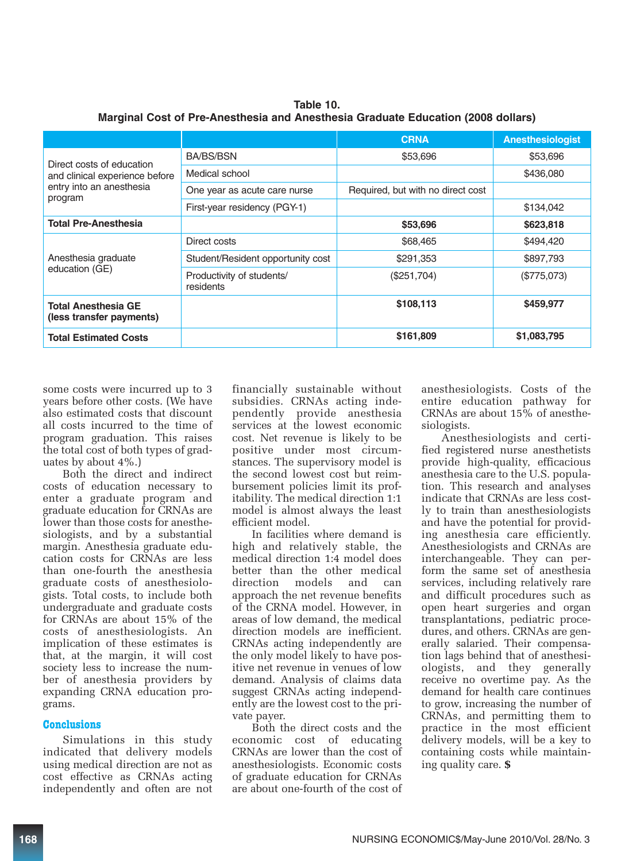|                                                        |                                        | <b>CRNA</b>                       | <b>Anesthesiologist</b> |
|--------------------------------------------------------|----------------------------------------|-----------------------------------|-------------------------|
| Direct costs of education                              | <b>BA/BS/BSN</b>                       | \$53,696                          | \$53,696                |
| and clinical experience before                         | Medical school                         |                                   | \$436,080               |
| entry into an anesthesia<br>program                    | One year as acute care nurse           | Required, but with no direct cost |                         |
|                                                        | First-year residency (PGY-1)           |                                   | \$134,042               |
| <b>Total Pre-Anesthesia</b>                            |                                        | \$53,696                          | \$623,818               |
|                                                        | Direct costs                           | \$68,465                          | \$494,420               |
| Anesthesia graduate                                    | Student/Resident opportunity cost      | \$291,353                         | \$897,793               |
| education (GE)                                         | Productivity of students/<br>residents | (\$251,704)                       | (\$775,073)             |
| <b>Total Anesthesia GE</b><br>(less transfer payments) |                                        | \$108,113                         | \$459,977               |
| <b>Total Estimated Costs</b>                           |                                        | \$161,809                         | \$1,083,795             |

**Table 10. Marginal Cost of Pre-Anesthesia and Anesthesia Graduate Education (2008 dollars)**

some costs were incurred up to 3 years before other costs. (We have also estimated costs that discount all costs incurred to the time of program graduation. This raises the total cost of both types of graduates by about 4%.)

Both the direct and indirect costs of education necessary to enter a graduate program and graduate education for CRNAs are lower than those costs for anesthesiologists, and by a substantial margin. Anesthesia graduate education costs for CRNAs are less than one-fourth the anesthesia graduate costs of anesthesiologists. Total costs, to include both undergraduate and graduate costs for CRNAs are about 15% of the costs of anesthesiologists. An implication of these estimates is that, at the margin, it will cost society less to increase the number of anesthesia providers by expanding CRNA education programs.

#### **Conclusions**

Simulations in this study indicated that delivery models using medical direction are not as cost effective as CRNAs acting independently and often are not

financially sustainable without subsidies. CRNAs acting independently provide anesthesia services at the lowest economic cost. Net revenue is likely to be positive under most circumstances. The supervisory model is the second lowest cost but reimbursement policies limit its profitability. The medical direction 1:1 model is almost always the least efficient model.

In facilities where demand is high and relatively stable, the medical direction 1:4 model does better than the other medical direction models and can approach the net revenue benefits of the CRNA model. However, in areas of low demand, the medical direction models are inefficient. CRNAs acting independently are the only model likely to have positive net revenue in venues of low demand. Analysis of claims data suggest CRNAs acting independently are the lowest cost to the private payer.

Both the direct costs and the economic cost of educating CRNAs are lower than the cost of anesthesiologists. Economic costs of graduate education for CRNAs are about one-fourth of the cost of

anesthesiologists. Costs of the entire education pathway for CRNAs are about  $15\%$  of anesthesiologists.

Anesthesiologists and certified registered nurse anesthetists provide high-quality, efficacious anesthesia care to the U.S. population. This research and analyses indicate that CRNAs are less costly to train than anesthesiologists and have the potential for providing anesthesia care efficiently. Anesthesiologists and CRNAs are interchangeable. They can perform the same set of anesthesia services, including relatively rare and difficult procedures such as open heart surgeries and organ transplantations, pediatric procedures, and others. CRNAs are generally salaried. Their compensation lags behind that of anesthesiologists, and they generally receive no overtime pay. As the demand for health care continues to grow, increasing the number of CRNAs, and permitting them to practice in the most efficient delivery models, will be a key to containing costs while maintaining quality care. **\$**